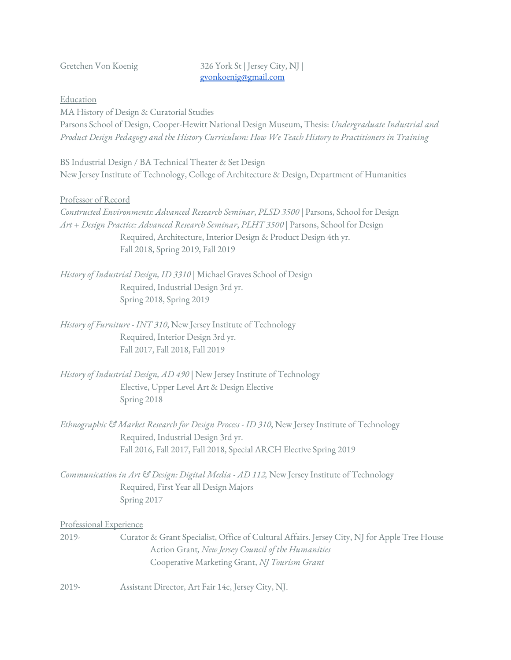## Gretchen Von Koenig 326 York St | Jersey City, NJ | [gvonkoenig@gmail.com](mailto:gvonkoenig@gmail.com)

Education

MA History of Design & Curatorial Studies Parsons School of Design, Cooper-Hewitt National Design Museum, Thesis: *Undergraduate Industrial and Product Design Pedagogy and the History Curriculum: How We Teach History to Practitioners in Training*

BS Industrial Design / BA Technical Theater & Set Design New Jersey Institute of Technology, College of Architecture & Design, Department of Humanities

Professor of Record

*Constructed Environments: Advanced Research Seminar*, *PLSD 3500 |* Parsons, School for Design *Art + Design Practice: Advanced Research Seminar*, *PLHT 3500 |* Parsons, School for Design Required, Architecture, Interior Design & Product Design 4th yr. Fall 2018, Spring 2019, Fall 2019

- *History of Industrial Design, ID 3310 |* Michael Graves School of Design Required, Industrial Design 3rd yr. Spring 2018, Spring 2019
- *History of Furniture - INT 310*, New Jersey Institute of Technology Required, Interior Design 3rd yr. Fall 2017, Fall 2018, Fall 2019
- *History of Industrial Design, AD 490 |* New Jersey Institute of Technology Elective, Upper Level Art & Design Elective Spring 2018
- *Ethnographic & Market Research for Design Process - ID 310*, New Jersey Institute of Technology Required, Industrial Design 3rd yr. Fall 2016, Fall 2017, Fall 2018, Special ARCH Elective Spring 2019
- *Communication in Art & Design: Digital Media - AD 112,* New Jersey Institute of Technology Required, First Year all Design Majors Spring 2017

Professional Experience

- 2019- Curator & Grant Specialist, Office of Cultural Affairs. Jersey City, NJ for Apple Tree House Action Grant*, New Jersey Council of the Humanities* Cooperative Marketing Grant, *NJ Tourism Grant*
- 2019- Assistant Director, Art Fair 14c, Jersey City, NJ.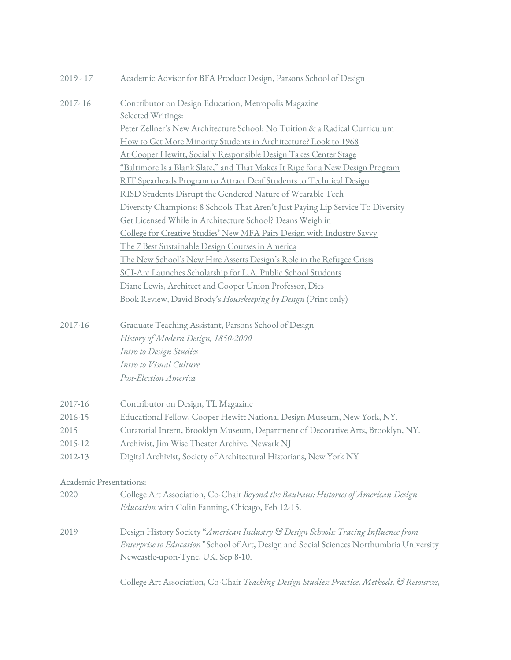| $2019 - 17$             | Academic Advisor for BFA Product Design, Parsons School of Design                          |  |  |  |  |  |  |
|-------------------------|--------------------------------------------------------------------------------------------|--|--|--|--|--|--|
| 2017-16                 | Contributor on Design Education, Metropolis Magazine                                       |  |  |  |  |  |  |
|                         | Selected Writings:                                                                         |  |  |  |  |  |  |
|                         | Peter Zellner's New Architecture School: No Tuition & a Radical Curriculum                 |  |  |  |  |  |  |
|                         | How to Get More Minority Students in Architecture? Look to 1968                            |  |  |  |  |  |  |
|                         | At Cooper Hewitt, Socially Responsible Design Takes Center Stage                           |  |  |  |  |  |  |
|                         | "Baltimore Is a Blank Slate," and That Makes It Ripe for a New Design Program              |  |  |  |  |  |  |
|                         | RIT Spearheads Program to Attract Deaf Students to Technical Design                        |  |  |  |  |  |  |
|                         | RISD Students Disrupt the Gendered Nature of Wearable Tech                                 |  |  |  |  |  |  |
|                         | Diversity Champions: 8 Schools That Aren't Just Paying Lip Service To Diversity            |  |  |  |  |  |  |
|                         | Get Licensed While in Architecture School? Deans Weigh in                                  |  |  |  |  |  |  |
|                         | College for Creative Studies' New MFA Pairs Design with Industry Savvy                     |  |  |  |  |  |  |
|                         | The 7 Best Sustainable Design Courses in America                                           |  |  |  |  |  |  |
|                         | <u>The New School's New Hire Asserts Design's Role in the Refugee Crisis</u>               |  |  |  |  |  |  |
|                         | SCI-Arc Launches Scholarship for L.A. Public School Students                               |  |  |  |  |  |  |
|                         | Diane Lewis, Architect and Cooper Union Professor, Dies                                    |  |  |  |  |  |  |
|                         | Book Review, David Brody's Housekeeping by Design (Print only)                             |  |  |  |  |  |  |
| 2017-16                 | Graduate Teaching Assistant, Parsons School of Design                                      |  |  |  |  |  |  |
|                         | History of Modern Design, 1850-2000                                                        |  |  |  |  |  |  |
|                         | Intro to Design Studies                                                                    |  |  |  |  |  |  |
|                         | Intro to Visual Culture                                                                    |  |  |  |  |  |  |
|                         | Post-Election America                                                                      |  |  |  |  |  |  |
| 2017-16                 | Contributor on Design, TL Magazine                                                         |  |  |  |  |  |  |
| 2016-15                 | Educational Fellow, Cooper Hewitt National Design Museum, New York, NY.                    |  |  |  |  |  |  |
| 2015                    | Curatorial Intern, Brooklyn Museum, Department of Decorative Arts, Brooklyn, NY.           |  |  |  |  |  |  |
| 2015-12                 | Archivist, Jim Wise Theater Archive, Newark NJ                                             |  |  |  |  |  |  |
| 2012-13                 | Digital Archivist, Society of Architectural Historians, New York NY                        |  |  |  |  |  |  |
| Academic Presentations: |                                                                                            |  |  |  |  |  |  |
| 2020                    | College Art Association, Co-Chair Beyond the Bauhaus: Histories of American Design         |  |  |  |  |  |  |
|                         | Education with Colin Fanning, Chicago, Feb 12-15.                                          |  |  |  |  |  |  |
| 2019                    | Design History Society "American Industry & Design Schools: Tracing Influence from         |  |  |  |  |  |  |
|                         | Enterprise to Education" School of Art, Design and Social Sciences Northumbria University  |  |  |  |  |  |  |
|                         | Newcastle-upon-Tyne, UK. Sep 8-10.                                                         |  |  |  |  |  |  |
|                         | College Art Association, Co-Chair Teaching Design Studies: Practice, Methods, & Resources, |  |  |  |  |  |  |
|                         |                                                                                            |  |  |  |  |  |  |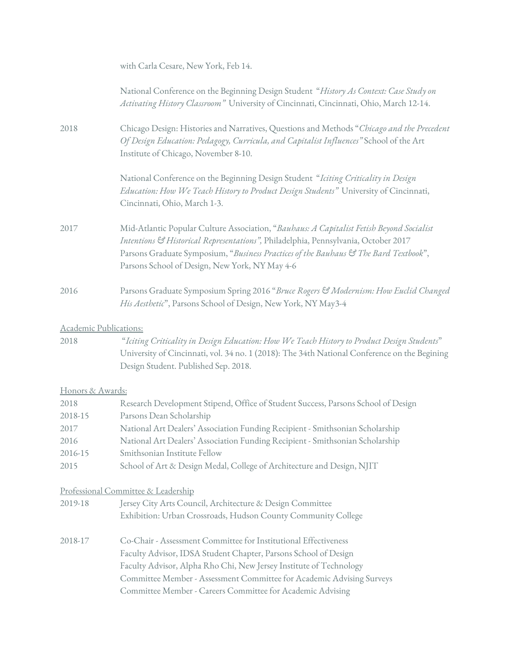|                        | with Carla Cesare, New York, Feb 14.                                                                                                                                                                                                                                                                                                            |  |  |  |  |  |
|------------------------|-------------------------------------------------------------------------------------------------------------------------------------------------------------------------------------------------------------------------------------------------------------------------------------------------------------------------------------------------|--|--|--|--|--|
|                        | National Conference on the Beginning Design Student "History As Context: Case Study on<br>Activating History Classroom" University of Cincinnati, Cincinnati, Ohio, March 12-14.                                                                                                                                                                |  |  |  |  |  |
| 2018                   | Chicago Design: Histories and Narratives, Questions and Methods "Chicago and the Precedent<br>Of Design Education: Pedagogy, Curricula, and Capitalist Influences" School of the Art<br>Institute of Chicago, November 8-10.                                                                                                                    |  |  |  |  |  |
|                        | National Conference on the Beginning Design Student "Iciting Criticality in Design<br>Education: How We Teach History to Product Design Students" University of Cincinnati,<br>Cincinnati, Ohio, March 1-3.                                                                                                                                     |  |  |  |  |  |
| 2017                   | Mid-Atlantic Popular Culture Association, "Bauhaus: A Capitalist Fetish Beyond Socialist<br>Intentions & Historical Representations", Philadelphia, Pennsylvania, October 2017<br>Parsons Graduate Symposium, "Business Practices of the Bauhaus & The Bard Textbook",<br>Parsons School of Design, New York, NY May 4-6                        |  |  |  |  |  |
| 2016                   | Parsons Graduate Symposium Spring 2016 "Bruce Rogers & Modernism: How Euclid Changed<br>His Aesthetic", Parsons School of Design, New York, NY May3-4                                                                                                                                                                                           |  |  |  |  |  |
| Academic Publications: |                                                                                                                                                                                                                                                                                                                                                 |  |  |  |  |  |
| 2018                   | "Iciting Criticality in Design Education: How We Teach History to Product Design Students"<br>University of Cincinnati, vol. 34 no. 1 (2018): The 34th National Conference on the Begining<br>Design Student. Published Sep. 2018.                                                                                                              |  |  |  |  |  |
| Honors & Awards:       |                                                                                                                                                                                                                                                                                                                                                 |  |  |  |  |  |
| 2018                   | Research Development Stipend, Office of Student Success, Parsons School of Design                                                                                                                                                                                                                                                               |  |  |  |  |  |
| 2018-15                | Parsons Dean Scholarship                                                                                                                                                                                                                                                                                                                        |  |  |  |  |  |
| 2017                   | National Art Dealers' Association Funding Recipient - Smithsonian Scholarship                                                                                                                                                                                                                                                                   |  |  |  |  |  |
| 2016                   | National Art Dealers' Association Funding Recipient - Smithsonian Scholarship                                                                                                                                                                                                                                                                   |  |  |  |  |  |
| 2016-15                | Smithsonian Institute Fellow                                                                                                                                                                                                                                                                                                                    |  |  |  |  |  |
| 2015                   | School of Art & Design Medal, College of Architecture and Design, NJIT                                                                                                                                                                                                                                                                          |  |  |  |  |  |
|                        | Professional Committee & Leadership                                                                                                                                                                                                                                                                                                             |  |  |  |  |  |
| 2019-18                | Jersey City Arts Council, Architecture & Design Committee                                                                                                                                                                                                                                                                                       |  |  |  |  |  |
|                        | Exhibition: Urban Crossroads, Hudson County Community College                                                                                                                                                                                                                                                                                   |  |  |  |  |  |
| 2018-17                | Co-Chair - Assessment Committee for Institutional Effectiveness<br>Faculty Advisor, IDSA Student Chapter, Parsons School of Design<br>Faculty Advisor, Alpha Rho Chi, New Jersey Institute of Technology<br>Committee Member - Assessment Committee for Academic Advising Surveys<br>Committee Member - Careers Committee for Academic Advising |  |  |  |  |  |